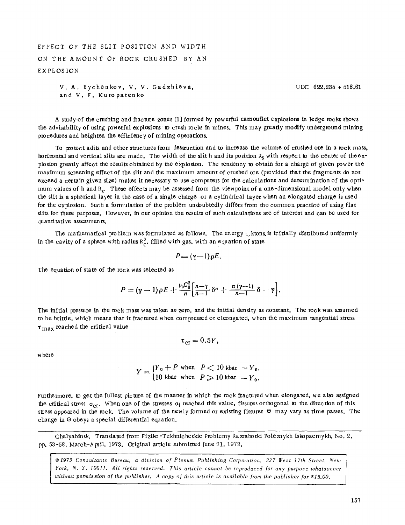## EFFECT OF THE SLIT POSITION AND WIDTH ON THE AMOUNT OF ROCK CRUSHED BY AN EXPLOSION

```
V. A. Bychenkov, V. V. Gadzhieva, 
and V. F. Kuropatenko
```
UDC 622.235 + 518.61

A study of the crashing and fracture zones [1] formed by powerful camouflet explosions in ledge rocks shows the advisability of using powerful explosions to crush rocks in mines. This may greatly modify underground mining procedures and heighten the efficiency of mining operations.

To protect adits and other structures from destruction and to increase the volume of crushed ore in a rock mass, horizontal and vertical slits are made. The width of the slit h and its position  $R_S$  with respect to the center of the explodon greatly affect the results obtained by the explosion. The tendency to obtain for a charge of given power the maximum screening effect of the slit and the maximum amount of crushed ore (provided that the fragments do not exceed a certain given size) makes it necessary to use computers for the calculations and determination of the optimum values of h and R<sub>s</sub>. These effects may be assessed from the viewpoint of a one-dimensional model only when the slit is a spherical layer in the case of a single charge or a cylindrical layer when an elongated charge is used for the explosion. Such a formulation of the problem undoubtedly differs from the common practice of using flat slits for these purposes. However, in our opinion the results of such calculations are of interest and can be used for quantitative assessments.

The mathematical problem was formulated as follows. The energy  $q$ , ktons, is initially distributed uniformly in the cavity of a sphere with radius  $R_c^0$ , filled with gas, with an equation of state

$$
P = (\gamma - 1) \rho E.
$$

The equation of state of the rock was selected as

$$
P = (\gamma - 1) \rho E + \frac{P_0 C_0^2}{n} \left[ \frac{n - \gamma}{n - 1} \delta^n + \frac{n (\gamma - 1)}{n - 1} \delta - \gamma \right].
$$

The initial pressure in the rock mass was taken as zero, and the initial density as constant. The rock was assumed to be brittle, which means that it fractured when compressed or eleongated, when the maximum tangential stress  $\tau_{\text{max}}$  reached the critical value

$$
\tau_{\rm cr}=0.5Y,
$$

w here

$$
Y = \begin{cases} Y_0 + P \text{ when } P < 10 \text{ kbar} - Y_0, \\ 10 \text{ kbar when } P \geqslant 10 \text{ kbar} - Y_0. \end{cases}
$$

Furthermore, to get the fullest picture of the manner in which the rock fractured when elongated, we also assigned the critical stress  $\sigma_{cr}$ . When one of the stresses  $\sigma_i$  reached this value, fissures orthogonal to the direction of this stress appeared in the rock. The volume of the newly formed or existing fissures  $\Theta$  may vary as time passes. The change in  $\Theta$  obeys a special differential equation.

Chelyabinsk. Translated from Fiziko-Tekhnicheskie Problemy Razrabotki Poleznykh Iskopaemykh, No. 2, pp. 53-58, March-April, 1973. Original article submitted June 21, 1972.

and *Line is a little is a limit in the publisher.* A copy of this article is available from the publisher for \$15.00. <br>| without permission of the publisher. A copy of this article is available from the publisher for \$15. *9 Consultants Bureau, a division of Plenum Publishing Corporation, 227 West 17th Street, New York, N. Y. 10011. All rights reserved. This article cannot be reproduced for any purpose whatsoever*